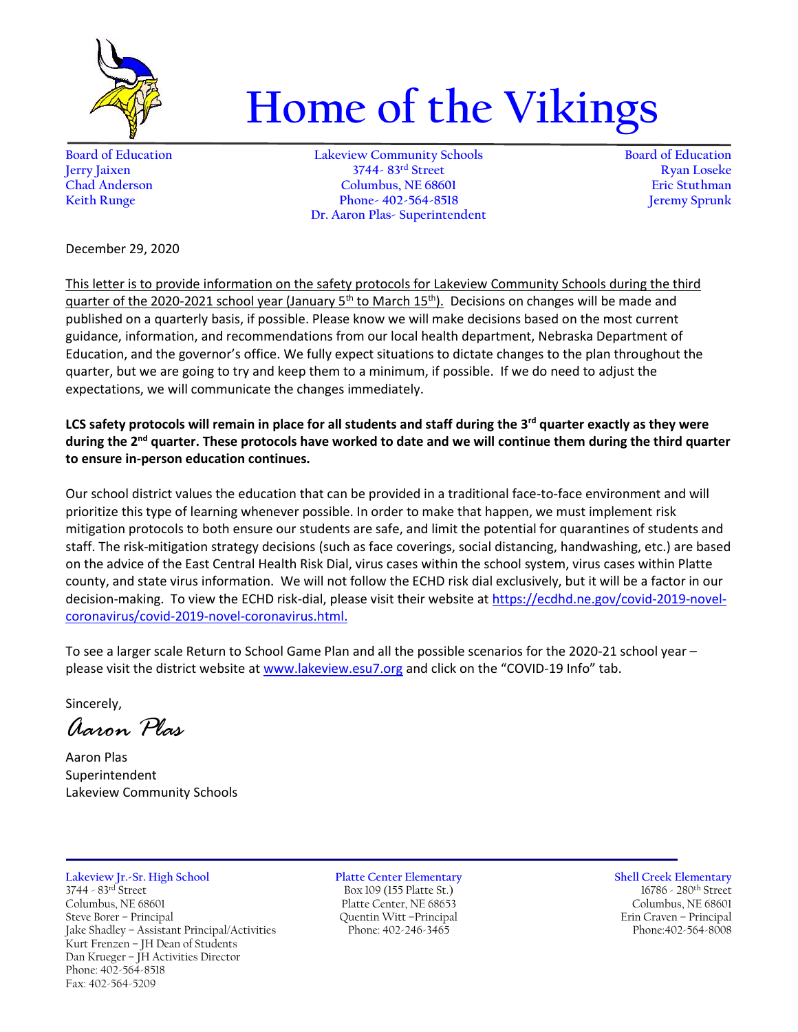

## **Home of the Vikings**

**Board of Education Lakeview Community Schools Board of Education Jerry Jaixen 3744- 83rd Street Ryan Loseke Chad Anderson Columbus, NE 68601 Eric Stuthman Keith Runge Phone- 402-564-8518 Dr. Aaron Plas- Superintendent**

December 29, 2020

This letter is to provide information on the safety protocols for Lakeview Community Schools during the third quarter of the 2020-2021 school year (January 5<sup>th</sup> to March 15<sup>th</sup>). Decisions on changes will be made and published on a quarterly basis, if possible. Please know we will make decisions based on the most current guidance, information, and recommendations from our local health department, Nebraska Department of Education, and the governor's office. We fully expect situations to dictate changes to the plan throughout the quarter, but we are going to try and keep them to a minimum, if possible. If we do need to adjust the expectations, we will communicate the changes immediately.

LCS safety protocols will remain in place for all students and staff during the 3<sup>rd</sup> quarter exactly as they were during the 2<sup>nd</sup> quarter. These protocols have worked to date and we will continue them during the third quarter **to ensure in-person education continues.**

Our school district values the education that can be provided in a traditional face-to-face environment and will prioritize this type of learning whenever possible. In order to make that happen, we must implement risk mitigation protocols to both ensure our students are safe, and limit the potential for quarantines of students and staff. The risk-mitigation strategy decisions (such as face coverings, social distancing, handwashing, etc.) are based on the advice of the East Central Health Risk Dial, virus cases within the school system, virus cases within Platte county, and state virus information. We will not follow the ECHD risk dial exclusively, but it will be a factor in our decision-making. To view the ECHD risk-dial, please visit their website a[t https://ecdhd.ne.gov/covid-2019-novel](https://ecdhd.ne.gov/covid-2019-novel-coronavirus/covid-2019-novel-coronavirus.html)[coronavirus/covid-2019-novel-coronavirus.html.](https://ecdhd.ne.gov/covid-2019-novel-coronavirus/covid-2019-novel-coronavirus.html)

To see a larger scale Return to School Game Plan and all the possible scenarios for the 2020-21 school year – please visit the district website at [www.lakeview.esu7.org](http://www.lakeview.esu7.org/) and click on the "COVID-19 Info" tab.

Sincerely,

*Aaron Plas*

Aaron Plas Superintendent Lakeview Community Schools

## **Lakeview Jr.-Sr. High School Platte Center Elementary Shell Creek Elementary** 3744 - 83rd Street Box 109 (155 Platte St.) 16786 - 280th Street Columbus, NE 68601 Platte Center, NE 68653 Columbus, NE 68601 Jake Shadley - Assistant Principal/Activities Kurt Frenzen – JH Dean of Students Dan Krueger – JH Activities Director Phone: 402-564-8518 Fax: 402-564-5209

Steve Borer – Principal Quentin Witt –Principal Erin Craven – Principal